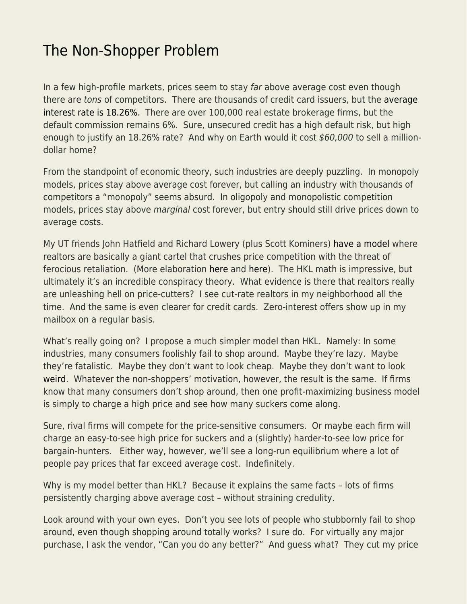## [The Non-Shopper Problem](https://everything-voluntary.com/the-non-shopper-problem)

In a few high-profile markets, prices seem to stay far above average cost even though there are tons of competitors. There are thousands of credit card issuers, but the [average](https://wallethub.com/edu/cc/average-credit-card-interest-rate/50841) [interest rate is 18.26%](https://wallethub.com/edu/cc/average-credit-card-interest-rate/50841). There are over 100,000 real estate brokerage firms, but the default commission remains 6%. Sure, unsecured credit has a high default risk, but high enough to justify an 18.26% rate? And why on Earth would it cost \$60,000 to sell a milliondollar home?

From the standpoint of economic theory, such industries are deeply puzzling. In monopoly models, prices stay above average cost forever, but calling an industry with thousands of competitors a "monopoly" seems absurd. In oligopoly and monopolistic competition models, prices stay above marginal cost forever, but entry should still drive prices down to average costs.

My UT friends John Hatfield and Richard Lowery (plus Scott Kominers) [have a model](https://www.hbs.edu/ris/Publication%20Files/20-023_05c30778-2b91-4698-8a4e-f466bda12eee.pdf) where realtors are basically a giant cartel that crushes price competition with the threat of ferocious retaliation. (More elaboration [here](https://www.journals.uchicago.edu/doi/full/10.1086/709953#) and [here\)](https://extranet.sioe.org/uploads/sioe2021/barry_hatfield_kominers_lowery.pdf). The HKL math is impressive, but ultimately it's an incredible conspiracy theory. What evidence is there that realtors really are unleashing hell on price-cutters? I see cut-rate realtors in my neighborhood all the time. And the same is even clearer for credit cards. Zero-interest offers show up in my mailbox on a regular basis.

What's really going on? I propose a much simpler model than HKL. Namely: In some industries, many consumers foolishly fail to shop around. Maybe they're lazy. Maybe they're fatalistic. Maybe they don't want to look cheap. Maybe they don't want to look [weird](https://www.econlib.org/archives/2012/08/status_quo_bias.html). Whatever the non-shoppers' motivation, however, the result is the same. If firms know that many consumers don't shop around, then one profit-maximizing business model is simply to charge a high price and see how many suckers come along.

Sure, rival firms will compete for the price-sensitive consumers. Or maybe each firm will charge an easy-to-see high price for suckers and a (slightly) harder-to-see low price for bargain-hunters. Either way, however, we'll see a long-run equilibrium where a lot of people pay prices that far exceed average cost. Indefinitely.

Why is my model better than HKL? Because it explains the same facts - lots of firms persistently charging above average cost – without straining credulity.

Look around with your own eyes. Don't you see lots of people who stubbornly fail to shop around, even though shopping around totally works? I sure do. For virtually any major purchase, I ask the vendor, "Can you do any better?" And guess what? They cut my price